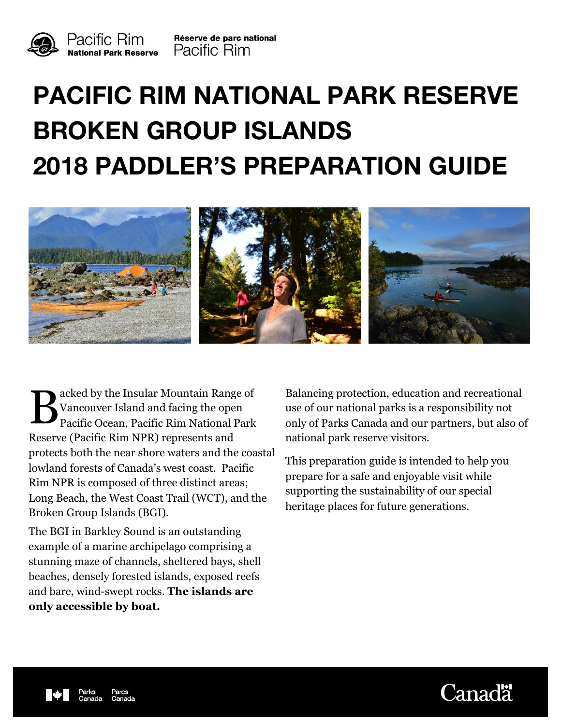



Réserve de parc national Pacific Rim

# **PACIFIC RIM NATIONAL PARK RESERVE BROKEN GROUP ISLANDS 2018 PADDLER'S PREPARATION GUIDE**



B acked by the Insular Mountain Range of Pacific Ocean, Pacific Rim National Park Vancouver Island and facing the open Reserve (Pacific Rim NPR) represents and protects both the near shore waters and the coastal lowland forests of Canada's west coast. Pacific Rim NPR is composed of three distinct areas; Long Beach, the West Coast Trail (WCT), and the Broken Group Islands (BGI).

The BGI in Barkley Sound is an outstanding example of a marine archipelago comprising a stunning maze of channels, sheltered bays, shell beaches, densely forested islands, exposed reefs and bare, wind-swept rocks. **The islands are only accessible by boat.** 

Balancing protection, education and recreational use of our national parks is a responsibility not only of Parks Canada and our partners, but also of national park reserve visitors.

This preparation guide is intended to help you prepare for a safe and enjoyable visit while supporting the sustainability of our special heritage places for future generations.

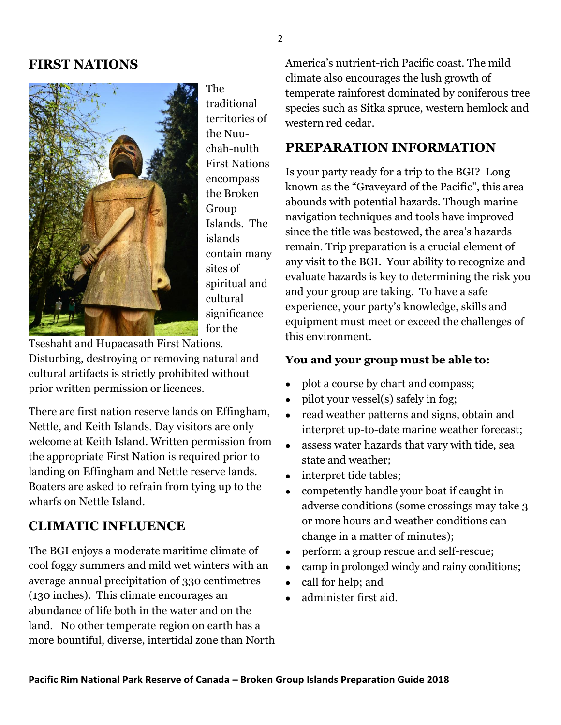#### **FIRST NATIONS**



The traditional territories of the Nuuchah-nulth First Nations encompass the Broken Group Islands. The islands contain many sites of spiritual and cultural significance for the

Tseshaht and Hupacasath First Nations. Disturbing, destroying or removing natural and cultural artifacts is strictly prohibited without prior written permission or licences.

There are first nation reserve lands on Effingham, Nettle, and Keith Islands. Day visitors are only welcome at Keith Island. Written permission from the appropriate First Nation is required prior to landing on Effingham and Nettle reserve lands. Boaters are asked to refrain from tying up to the wharfs on Nettle Island.

#### **CLIMATIC INFLUENCE**

The BGI enjoys a moderate maritime climate of cool foggy summers and mild wet winters with an average annual precipitation of 330 centimetres (130 inches). This climate encourages an abundance of life both in the water and on the land. No other temperate region on earth has a more bountiful, diverse, intertidal zone than North America's nutrient-rich Pacific coast. The mild climate also encourages the lush growth of temperate rainforest dominated by coniferous tree species such as Sitka spruce, western hemlock and western red cedar.

# **PREPARATION INFORMATION**

Is your party ready for a trip to the BGI? Long known as the "Graveyard of the Pacific", this area abounds with potential hazards. Though marine navigation techniques and tools have improved since the title was bestowed, the area's hazards remain. Trip preparation is a crucial element of any visit to the BGI. Your ability to recognize and evaluate hazards is key to determining the risk you and your group are taking. To have a safe experience, your party's knowledge, skills and equipment must meet or exceed the challenges of this environment.

#### **You and your group must be able to:**

- plot a course by chart and compass;
- pilot your vessel(s) safely in fog;
- read weather patterns and signs, obtain and interpret up-to-date marine weather forecast;
- assess water hazards that vary with tide, sea state and weather;
- interpret tide tables;
- competently handle your boat if caught in adverse conditions (some crossings may take 3 or more hours and weather conditions can change in a matter of minutes);
- perform a group rescue and self-rescue;
- camp in prolonged windy and rainy conditions;
- call for help; and
- administer first aid.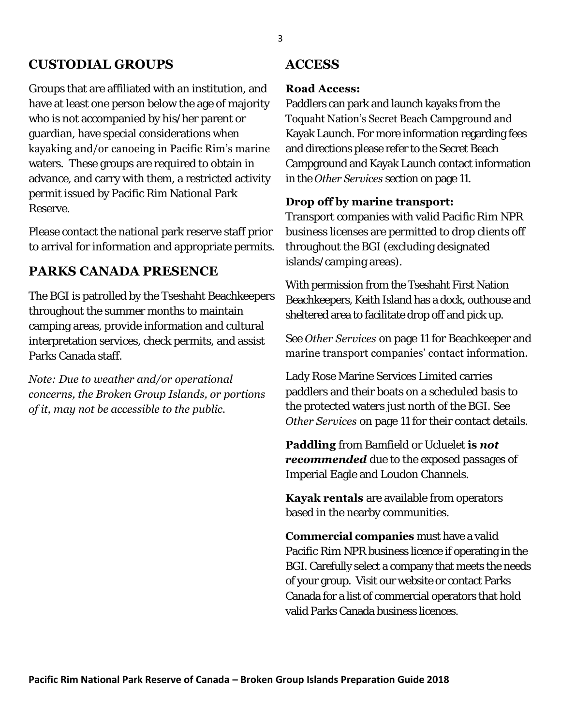# **CUSTODIAL GROUPS**

Groups that are affiliated with an institution, and have at least one person below the age of majority who is not accompanied by his/her parent or guardian, have special considerations when kayaking and/or canoeing in Pacific Rim's marine waters. These groups are required to obtain in advance, and carry with them, a restricted activity permit issued by Pacific Rim National Park Reserve.

Please contact the national park reserve staff prior to arrival for information and appropriate permits.

## **PARKS CANADA PRESENCE**

The BGI is patrolled by the Tseshaht Beachkeepers throughout the summer months to maintain camping areas, provide information and cultural interpretation services, check permits, and assist Parks Canada staff.

*Note: Due to weather and/or operational concerns, the Broken Group Islands, or portions of it, may not be accessible to the public.*

# **ACCESS**

#### **Road Access:**

Paddlers can park and launch kayaks from the Toquaht Nation's Secret Beach Campground and Kayak Launch. For more information regarding fees and directions please refer to the Secret Beach Campground and Kayak Launch contact information in the *Other Services* section on page 11.

#### **Drop off by marine transport:**

Transport companies with valid Pacific Rim NPR business licenses are permitted to drop clients off throughout the BGI (excluding designated islands/camping areas).

With permission from the Tseshaht First Nation Beachkeepers, Keith Island has a dock, outhouse and sheltered area to facilitate drop off and pick up.

See *Other Services* on page 11 for Beachkeeper and marine transport companies' contact information.

Lady Rose Marine Services Limited carries paddlers and their boats on a scheduled basis to the protected waters just north of the BGI. See *Other Services* on page 11 for their contact details.

**Paddling** from Bamfield or Ucluelet **is** *not recommended* due to the exposed passages of Imperial Eagle and Loudon Channels.

**Kayak rentals** are available from operators based in the nearby communities.

**Commercial companies** must have a valid Pacific Rim NPR business licence if operating in the BGI. Carefully select a company that meets the needs of your group. Visit our website or contact Parks Canada for a list of commercial operators that hold valid Parks Canada business licences.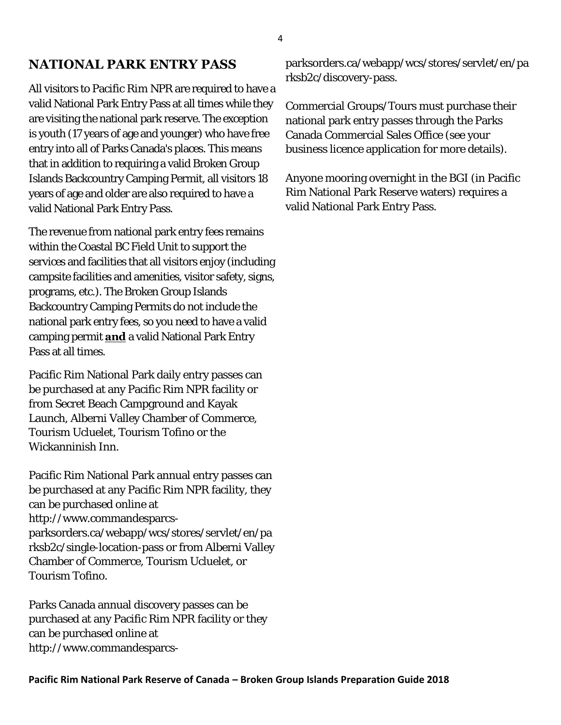# **NATIONAL PARK ENTRY PASS**

All visitors to Pacific Rim NPR are required to have a valid National Park Entry Pass at all times while they are visiting the national park reserve. The exception is youth (17 years of age and younger) who have free entry into all of Parks Canada's places. This means that in addition to requiring a valid Broken Group Islands Backcountry Camping Permit, all visitors 18 years of age and older are also required to have a valid National Park Entry Pass.

The revenue from national park entry fees remains within the Coastal BC Field Unit to support the services and facilities that all visitors enjoy (including campsite facilities and amenities, visitor safety, signs, programs, etc.). The Broken Group Islands Backcountry Camping Permits do not include the national park entry fees, so you need to have a valid camping permit **and** a valid National Park Entry Pass at all times.

Pacific Rim National Park daily entry passes can be purchased at any Pacific Rim NPR facility or from Secret Beach Campground and Kayak Launch, Alberni Valley Chamber of Commerce, Tourism Ucluelet, Tourism Tofino or the Wickanninish Inn.

Pacific Rim National Park annual entry passes can be purchased at any Pacific Rim NPR facility, they can be purchased online at http://www.commandesparcsparksorders.ca/webapp/wcs/stores/servlet/en/pa rksb2c/single-location-pass or from Alberni Valley Chamber of Commerce, Tourism Ucluelet, or Tourism Tofino.

Parks Canada annual discovery passes can be purchased at any Pacific Rim NPR facility or they can be purchased online at http://www.commandesparcs-

**Pacific Rim National Park Reserve of Canada – Broken Group Islands Preparation Guide 2018** 

parksorders.ca/webapp/wcs/stores/servlet/en/pa rksb2c/discovery-pass.

Commercial Groups/Tours must purchase their national park entry passes through the Parks Canada Commercial Sales Office (see your business licence application for more details).

Anyone mooring overnight in the BGI (in Pacific Rim National Park Reserve waters) requires a valid National Park Entry Pass.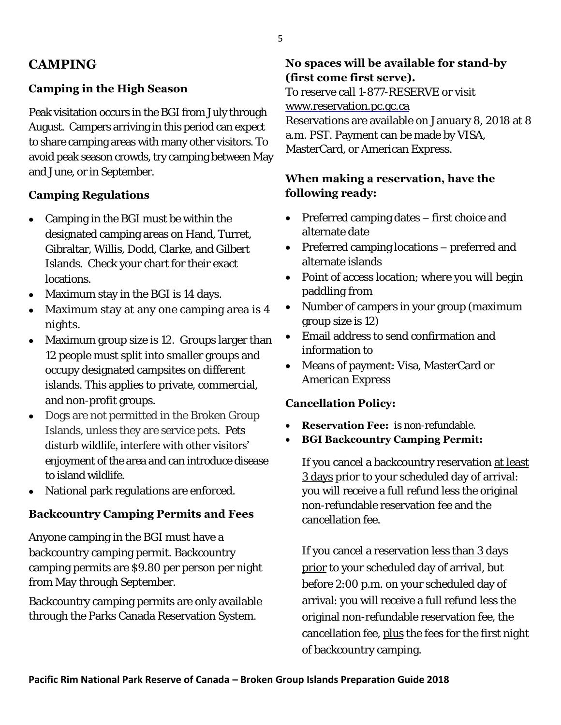# **CAMPING**

# **Camping in the High Season**

Peak visitation occurs in the BGI from July through August. Campers arriving in this period can expect to share camping areas with many other visitors. To avoid peak season crowds, try camping between May and June, or in September.

## **Camping Regulations**

- Camping in the BGI must be within the designated camping areas on Hand, Turret, Gibraltar, Willis, Dodd, Clarke, and Gilbert Islands. Check your chart for their exact locations.
- Maximum stay in the BGI is 14 days.
- Maximum stay at any one camping area is 4 nights.
- Maximum group size is 12. Groups larger than 12 people must split into smaller groups and occupy designated campsites on different islands. This applies to private, commercial, and non-profit groups.
- Dogs are not permitted in the Broken Group Islands, unless they are service pets. Pets disturb wildlife, interfere with other visitors' enjoyment of the area and can introduce disease to island wildlife.
- National park regulations are enforced.

## **Backcountry Camping Permits and Fees**

Anyone camping in the BGI must have a backcountry camping permit. Backcountry camping permits are \$9.80 per person per night from May through September.

Backcountry camping permits are only available through the Parks Canada Reservation System.

#### **No spaces will be available for stand-by (first come first serve).**

To reserve call 1-877-RESERVE or visit [www.reservation.pc.gc.ca](http://www.reservation.pc.gc.ca/)  Reservations are available on January 8, 2018 at 8 a.m. PST. Payment can be made by VISA, MasterCard, or American Express.

#### **When making a reservation, have the following ready:**

- Preferred camping dates first choice and alternate date
- Preferred camping locations preferred and alternate islands
- Point of access location; where you will begin paddling from
- Number of campers in your group (maximum group size is 12)
- Email address to send confirmation and information to
- Means of payment: Visa, MasterCard or American Express

#### **Cancellation Policy:**

- **Reservation Fee:** is non-refundable.
- **BGI Backcountry Camping Permit:**

If you cancel a backcountry reservation at least 3 days prior to your scheduled day of arrival: you will receive a full refund less the original non-refundable reservation fee and the cancellation fee.

If you cancel a reservation less than 3 days prior to your scheduled day of arrival, but before 2:00 p.m. on your scheduled day of arrival: you will receive a full refund less the original non-refundable reservation fee, the cancellation fee, plus the fees for the first night of backcountry camping.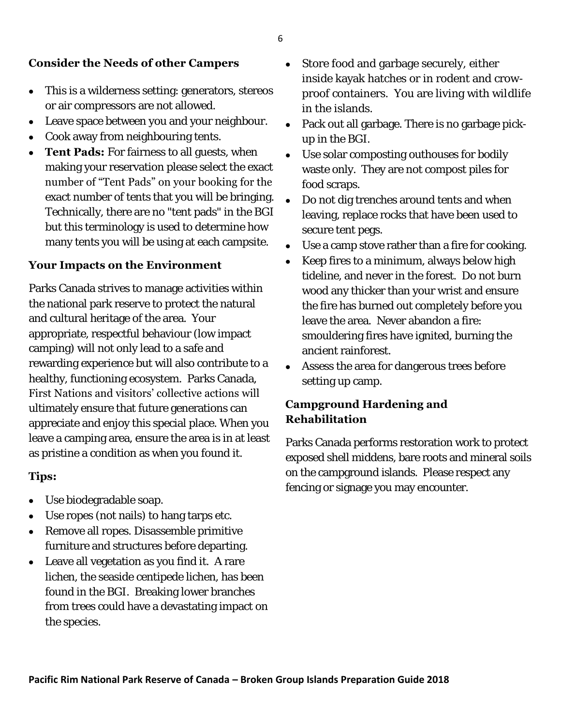- This is a wilderness setting: generators, stereos or air compressors are not allowed.
- Leave space between you and your neighbour.
- Cook away from neighbouring tents.
- **Tent Pads:** For fairness to all quests, when making your reservation please select the exact number of "Tent Pads" on your booking for the exact number of tents that you will be bringing. Technically, there are no "tent pads" in the BGI but this terminology is used to determine how many tents you will be using at each campsite.

#### **Your Impacts on the Environment**

Parks Canada strives to manage activities within the national park reserve to protect the natural and cultural heritage of the area. Your appropriate, respectful behaviour (low impact camping) will not only lead to a safe and rewarding experience but will also contribute to a healthy, functioning ecosystem. Parks Canada, First Nations and visitors' collective actions will ultimately ensure that future generations can appreciate and enjoy this special place. When you leave a camping area, ensure the area is in at least as pristine a condition as when you found it.

#### **Tips:**

- Use biodegradable soap.
- Use ropes (not nails) to hang tarps etc.
- Remove all ropes. Disassemble primitive furniture and structures before departing.
- Leave all vegetation as you find it. A rare lichen, the seaside centipede lichen, has been found in the BGI. Breaking lower branches from trees could have a devastating impact on the species.
- **Consider the Needs of other Campers** Store food and garbage securely, either inside kayak hatches or in rodent and crowproof containers. You are living with wildlife in the islands.
	- Pack out all garbage. There is no garbage pickup in the BGI.
	- Use solar composting outhouses for bodily waste only. They are not compost piles for food scraps.
	- Do not dig trenches around tents and when leaving, replace rocks that have been used to secure tent pegs.
	- Use a camp stove rather than a fire for cooking.
	- Keep fires to a minimum, always below high tideline, and never in the forest. Do not burn wood any thicker than your wrist and ensure the fire has burned out completely before you leave the area. Never abandon a fire: smouldering fires have ignited, burning the ancient rainforest.
	- Assess the area for dangerous trees before setting up camp.

#### **Campground Hardening and Rehabilitation**

Parks Canada performs restoration work to protect exposed shell middens, bare roots and mineral soils on the campground islands. Please respect any fencing or signage you may encounter.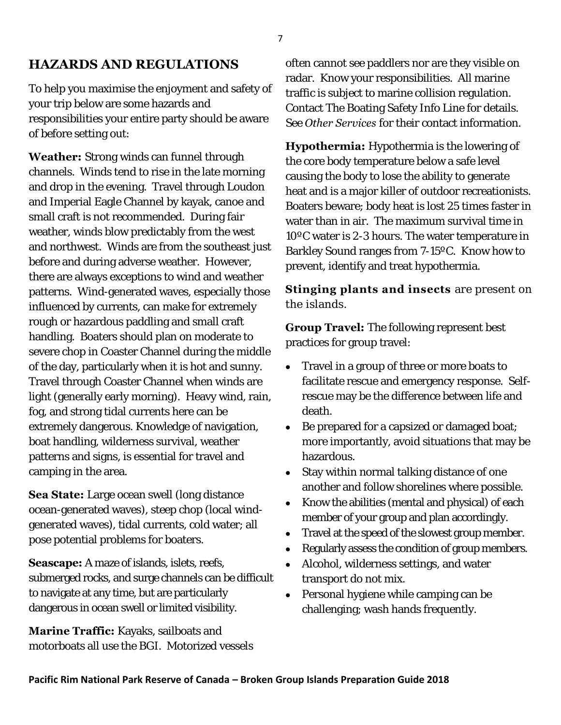## **HAZARDS AND REGULATIONS**

To help you maximise the enjoyment and safety of your trip below are some hazards and responsibilities your entire party should be aware of before setting out:

**Weather:** Strong winds can funnel through channels. Winds tend to rise in the late morning and drop in the evening. Travel through Loudon and Imperial Eagle Channel by kayak, canoe and small craft is not recommended. During fair weather, winds blow predictably from the west and northwest. Winds are from the southeast just before and during adverse weather. However, there are always exceptions to wind and weather patterns. Wind-generated waves, especially those influenced by currents, can make for extremely rough or hazardous paddling and small craft handling. Boaters should plan on moderate to severe chop in Coaster Channel during the middle of the day, particularly when it is hot and sunny. Travel through Coaster Channel when winds are light (generally early morning). Heavy wind, rain, fog, and strong tidal currents here can be extremely dangerous. Knowledge of navigation, boat handling, wilderness survival, weather patterns and signs, is essential for travel and camping in the area.

**Sea State:** Large ocean swell (long distance ocean-generated waves), steep chop (local windgenerated waves), tidal currents, cold water; all pose potential problems for boaters.

**Seascape:** A maze of islands, islets, reefs, submerged rocks, and surge channels can be difficult to navigate at any time, but are particularly dangerous in ocean swell or limited visibility.

**Marine Traffic:** Kayaks, sailboats and motorboats all use the BGI. Motorized vessels often cannot see paddlers nor are they visible on radar. Know your responsibilities. All marine traffic is subject to marine collision regulation. Contact The Boating Safety Info Line for details. See *Other Services* for their contact information.

**Hypothermia:** Hypothermia is the lowering of the core body temperature below a safe level causing the body to lose the ability to generate heat and is a major killer of outdoor recreationists. Boaters beware; body heat is lost 25 times faster in water than in air. The maximum survival time in 10ºC water is 2-3 hours. The water temperature in Barkley Sound ranges from 7-15ºC. Know how to prevent, identify and treat hypothermia.

**Stinging plants and insects** are present on the islands.

**Group Travel:** The following represent best practices for group travel:

- Travel in a group of three or more boats to facilitate rescue and emergency response. Selfrescue may be the difference between life and death.
- Be prepared for a capsized or damaged boat; more importantly, avoid situations that may be hazardous.
- Stay within normal talking distance of one another and follow shorelines where possible.
- Know the abilities (mental and physical) of each member of your group and plan accordingly.
- Travel at the speed of the slowest group member.
- Regularly assess the condition of group members.
- Alcohol, wilderness settings, and water transport do not mix.
- Personal hygiene while camping can be challenging; wash hands frequently.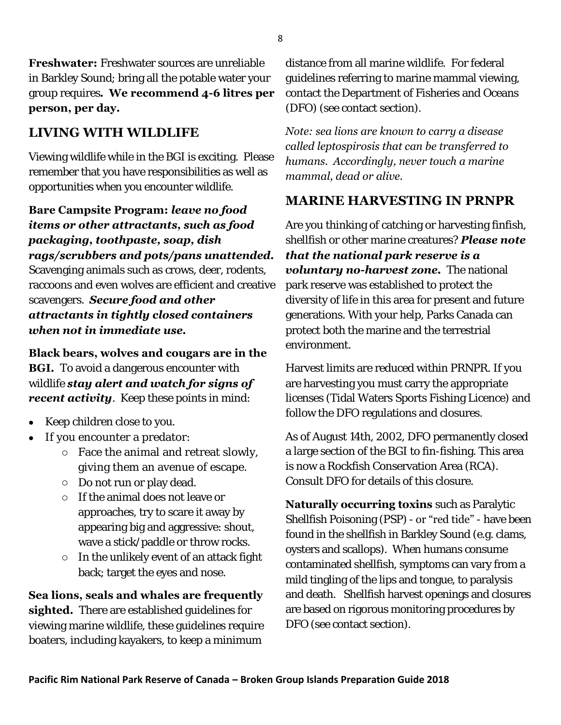**Freshwater:** Freshwater sources are unreliable in Barkley Sound; bring all the potable water your group requires**. We recommend 4-6 litres per person, per day.**

# **LIVING WITH WILDLIFE**

Viewing wildlife while in the BGI is exciting. Please remember that you have responsibilities as well as opportunities when you encounter wildlife.

#### **Bare Campsite Program:** *leave no food items or other attractants, such as food packaging, toothpaste, soap, dish rags/scrubbers and pots/pans unattended.*

Scavenging animals such as crows, deer, rodents, raccoons and even wolves are efficient and creative

#### scavengers. *Secure food and other attractants in tightly closed containers when not in immediate use.*

**Black bears, wolves and cougars are in the BGI.** To avoid a dangerous encounter with wildlife *stay alert and watch for signs of recent activity*. Keep these points in mind:

- Keep children close to you.
- If you encounter a predator:
	- o Face the animal and retreat slowly, giving them an avenue of escape.
	- o Do not run or play dead.
	- o If the animal does not leave or approaches, try to scare it away by appearing big and aggressive: shout, wave a stick/paddle or throw rocks.
	- o In the unlikely event of an attack fight back; target the eyes and nose.

**Sea lions, seals and whales are frequently sighted.** There are established guidelines for viewing marine wildlife, these guidelines require boaters, including kayakers, to keep a minimum

distance from all marine wildlife. For federal guidelines referring to marine mammal viewing, contact the Department of Fisheries and Oceans (DFO) (see contact section).

*Note: sea lions are known to carry a disease called leptospirosis that can be transferred to humans. Accordingly, never touch a marine mammal, dead or alive.* 

# **MARINE HARVESTING IN PRNPR**

Are you thinking of catching or harvesting finfish, shellfish or other marine creatures? *Please note that the national park reserve is a voluntary no-harvest zone.* The national park reserve was established to protect the diversity of life in this area for present and future generations. With your help, Parks Canada can protect both the marine and the terrestrial environment.

Harvest limits are reduced within PRNPR. If you are harvesting you must carry the appropriate licenses (Tidal Waters Sports Fishing Licence) and follow the DFO regulations and closures.

As of August 14th, 2002, DFO permanently closed a large section of the BGI to fin-fishing. This area is now a Rockfish Conservation Area (RCA). Consult DFO for details of this closure.

**Naturally occurring toxins** such as Paralytic Shellfish Poisoning (PSP) - or "red tide" - have been found in the shellfish in Barkley Sound (e.g. clams, oysters and scallops). When humans consume contaminated shellfish, symptoms can vary from a mild tingling of the lips and tongue, to paralysis and death. Shellfish harvest openings and closures are based on rigorous monitoring procedures by DFO (see contact section).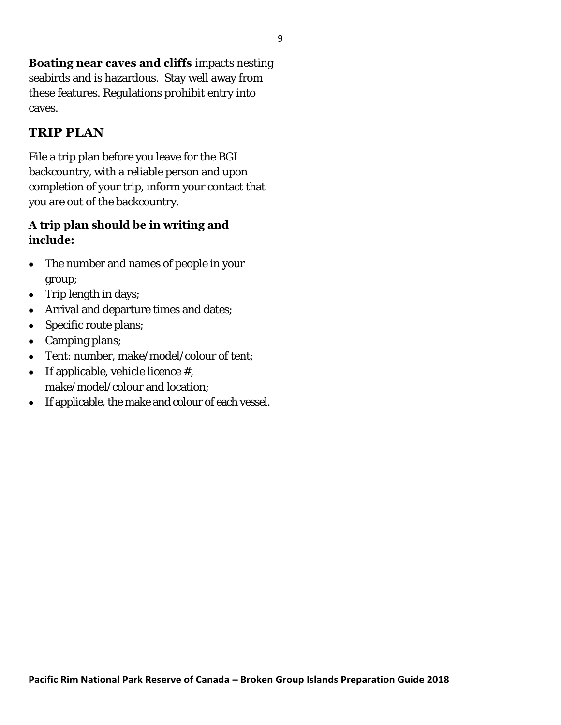**Boating near caves and cliffs** impacts nesting seabirds and is hazardous. Stay well away from these features. Regulations prohibit entry into caves.

# **TRIP PLAN**

File a trip plan before you leave for the BGI backcountry, with a reliable person and upon completion of your trip, inform your contact that you are out of the backcountry.

#### **A trip plan should be in writing and include:**

- The number and names of people in your group;
- $\bullet$  Trip length in days;
- Arrival and departure times and dates;
- Specific route plans;
- Camping plans;
- **•** Tent: number, make/model/colour of tent;
- If applicable, vehicle licence  $#$ , make/model/colour and location;
- If applicable, the make and colour of each vessel.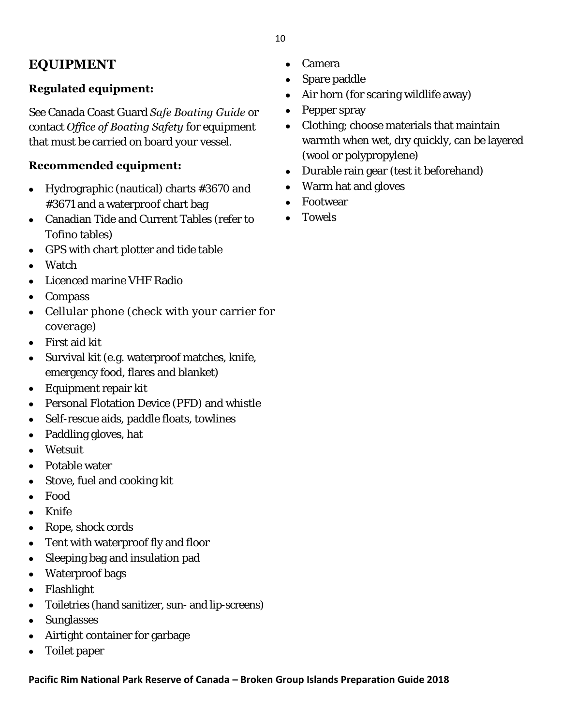# **EQUIPMENT**

#### **Regulated equipment:**

See Canada Coast Guard *Safe Boating Guide* or contact *Office of Boating Safety* for equipment that must be carried on board your vessel.

#### **Recommended equipment:**

- Hydrographic (nautical) charts #3670 and #3671 and a waterproof chart bag
- Canadian Tide and Current Tables (refer to Tofino tables)
- GPS with chart plotter and tide table
- Watch
- Licenced marine VHF Radio
- Compass
- Cellular phone (check with your carrier for coverage)
- First aid kit
- Survival kit (e.g. waterproof matches, knife, emergency food, flares and blanket)
- Equipment repair kit
- Personal Flotation Device (PFD) and whistle
- Self-rescue aids, paddle floats, towlines
- Paddling gloves, hat
- Wetsuit
- Potable water
- Stove, fuel and cooking kit
- Food
- $\bullet$  Knife
- Rope, shock cords
- Tent with waterproof fly and floor
- Sleeping bag and insulation pad
- Waterproof bags
- Flashlight
- Toiletries (hand sanitizer, sun- and lip-screens)

**Pacific Rim National Park Reserve of Canada – Broken Group Islands Preparation Guide 2018** 

- Sunglasses
- Airtight container for garbage
- Toilet paper
- Camera
- Spare paddle
- Air horn (for scaring wildlife away)
- Pepper spray
- Clothing; choose materials that maintain warmth when wet, dry quickly, can be layered (wool or polypropylene)
- Durable rain gear (test it beforehand)
- Warm hat and gloves
- Footwear
- Towels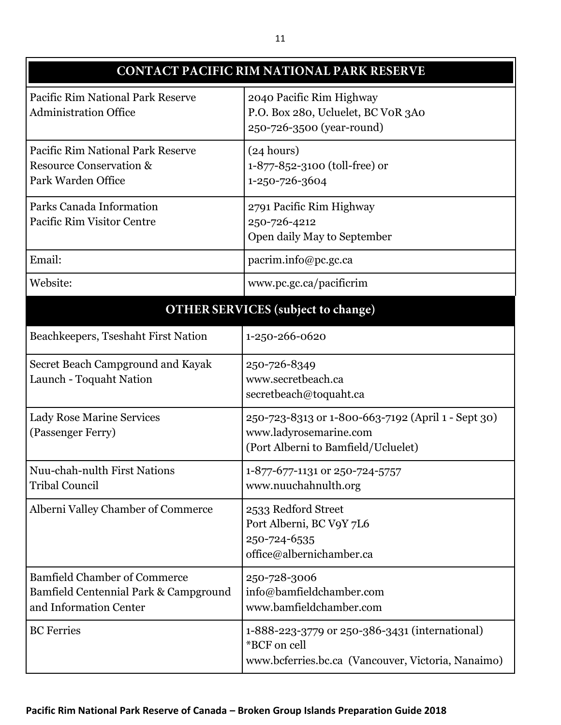| <b>CONTACT PACIFIC RIM NATIONAL PARK RESERVE</b>                                                       |                                                                                                                      |
|--------------------------------------------------------------------------------------------------------|----------------------------------------------------------------------------------------------------------------------|
| Pacific Rim National Park Reserve<br><b>Administration Office</b>                                      | 2040 Pacific Rim Highway<br>P.O. Box 280, Ucluelet, BC VOR 3A0<br>250-726-3500 (year-round)                          |
| Pacific Rim National Park Reserve<br><b>Resource Conservation &amp;</b><br>Park Warden Office          | (24 hours)<br>1-877-852-3100 (toll-free) or<br>1-250-726-3604                                                        |
| Parks Canada Information<br>Pacific Rim Visitor Centre                                                 | 2791 Pacific Rim Highway<br>250-726-4212<br>Open daily May to September                                              |
| Email:                                                                                                 | pacrim.info@pc.gc.ca                                                                                                 |
| Website:                                                                                               | www.pc.gc.ca/pacificrim                                                                                              |
| <b>OTHER SERVICES</b> (subject to change)                                                              |                                                                                                                      |
| Beachkeepers, Tseshaht First Nation                                                                    | 1-250-266-0620                                                                                                       |
| Secret Beach Campground and Kayak<br>Launch - Toquaht Nation                                           | 250-726-8349<br>www.secretbeach.ca<br>secretbeach@toquaht.ca                                                         |
| <b>Lady Rose Marine Services</b><br>(Passenger Ferry)                                                  | 250-723-8313 or 1-800-663-7192 (April 1 - Sept 30)<br>www.ladyrosemarine.com<br>(Port Alberni to Bamfield/Ucluelet)  |
| Nuu-chah-nulth First Nations<br><b>Tribal Council</b>                                                  | 1-877-677-1131 or 250-724-5757<br>www.nuuchahnulth.org                                                               |
| Alberni Valley Chamber of Commerce                                                                     | 2533 Redford Street<br>Port Alberni, BC V9Y 7L6<br>250-724-6535<br>office@albernichamber.ca                          |
| <b>Bamfield Chamber of Commerce</b><br>Bamfield Centennial Park & Campground<br>and Information Center | 250-728-3006<br>info@bamfieldchamber.com<br>www.bamfieldchamber.com                                                  |
| <b>BC</b> Ferries                                                                                      | 1-888-223-3779 or 250-386-3431 (international)<br>*BCF on cell<br>www.bcferries.bc.ca (Vancouver, Victoria, Nanaimo) |